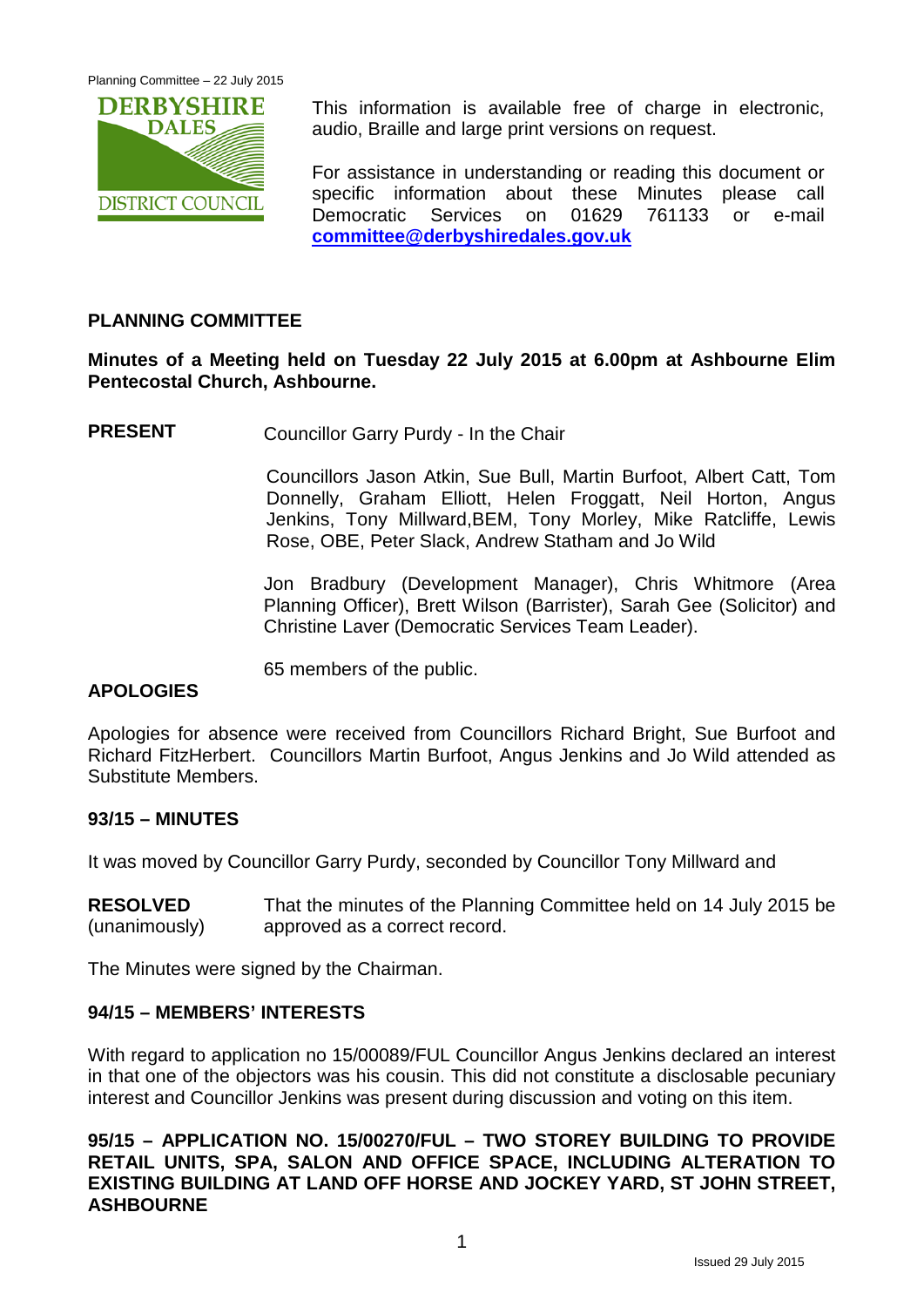

This information is available free of charge in electronic, audio, Braille and large print versions on request.

For assistance in understanding or reading this document or specific information about these Minutes please call Democratic Services on 01629 761133 or e-mail **[committee@derbyshiredales.gov.uk](mailto:committee@derbyshiredales.gov.uk)**

## **PLANNING COMMITTEE**

## **Minutes of a Meeting held on Tuesday 22 July 2015 at 6.00pm at Ashbourne Elim Pentecostal Church, Ashbourne.**

**PRESENT** Councillor Garry Purdy - In the Chair

Councillors Jason Atkin, Sue Bull, Martin Burfoot, Albert Catt, Tom Donnelly, Graham Elliott, Helen Froggatt, Neil Horton, Angus Jenkins, Tony Millward,BEM, Tony Morley, Mike Ratcliffe, Lewis Rose, OBE, Peter Slack, Andrew Statham and Jo Wild

Jon Bradbury (Development Manager), Chris Whitmore (Area Planning Officer), Brett Wilson (Barrister), Sarah Gee (Solicitor) and Christine Laver (Democratic Services Team Leader).

65 members of the public.

## **APOLOGIES**

Apologies for absence were received from Councillors Richard Bright, Sue Burfoot and Richard FitzHerbert. Councillors Martin Burfoot, Angus Jenkins and Jo Wild attended as Substitute Members.

## **93/15 – MINUTES**

It was moved by Councillor Garry Purdy, seconded by Councillor Tony Millward and

| <b>RESOLVED</b> | That the minutes of the Planning Committee held on 14 July 2015 be |
|-----------------|--------------------------------------------------------------------|
| (unanimously)   | approved as a correct record.                                      |

The Minutes were signed by the Chairman.

## **94/15 – MEMBERS' INTERESTS**

With regard to application no 15/00089/FUL Councillor Angus Jenkins declared an interest in that one of the objectors was his cousin. This did not constitute a disclosable pecuniary interest and Councillor Jenkins was present during discussion and voting on this item.

**95/15 – APPLICATION NO. 15/00270/FUL – TWO STOREY BUILDING TO PROVIDE RETAIL UNITS, SPA, SALON AND OFFICE SPACE, INCLUDING ALTERATION TO EXISTING BUILDING AT LAND OFF HORSE AND JOCKEY YARD, ST JOHN STREET, ASHBOURNE**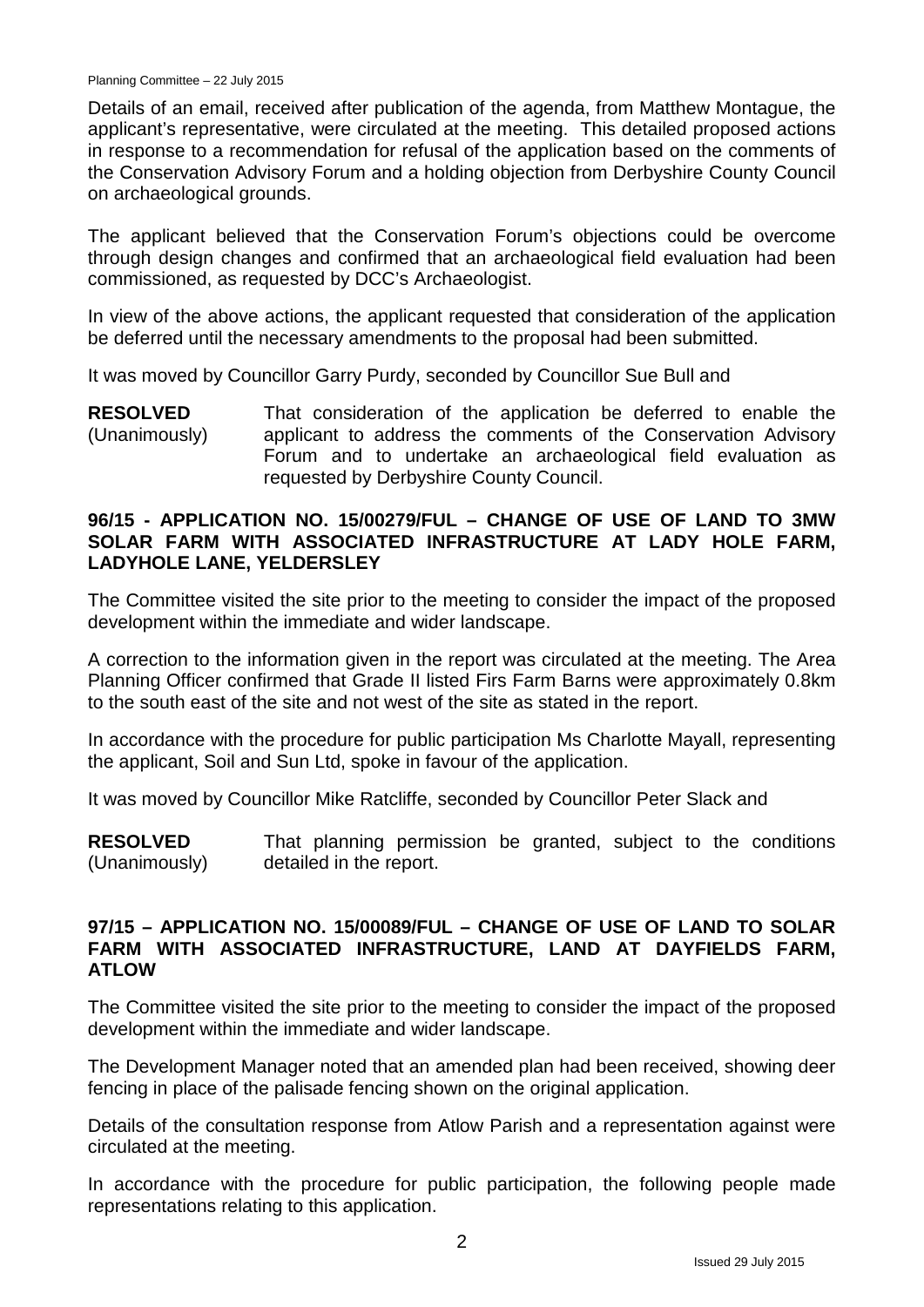Details of an email, received after publication of the agenda, from Matthew Montague, the applicant's representative, were circulated at the meeting. This detailed proposed actions in response to a recommendation for refusal of the application based on the comments of the Conservation Advisory Forum and a holding objection from Derbyshire County Council on archaeological grounds.

The applicant believed that the Conservation Forum's objections could be overcome through design changes and confirmed that an archaeological field evaluation had been commissioned, as requested by DCC's Archaeologist.

In view of the above actions, the applicant requested that consideration of the application be deferred until the necessary amendments to the proposal had been submitted.

It was moved by Councillor Garry Purdy, seconded by Councillor Sue Bull and

**RESOLVED** (Unanimously) That consideration of the application be deferred to enable the applicant to address the comments of the Conservation Advisory Forum and to undertake an archaeological field evaluation as requested by Derbyshire County Council.

#### **96/15 - APPLICATION NO. 15/00279/FUL – CHANGE OF USE OF LAND TO 3MW SOLAR FARM WITH ASSOCIATED INFRASTRUCTURE AT LADY HOLE FARM, LADYHOLE LANE, YELDERSLEY**

The Committee visited the site prior to the meeting to consider the impact of the proposed development within the immediate and wider landscape.

A correction to the information given in the report was circulated at the meeting. The Area Planning Officer confirmed that Grade II listed Firs Farm Barns were approximately 0.8km to the south east of the site and not west of the site as stated in the report.

In accordance with the procedure for public participation Ms Charlotte Mayall, representing the applicant, Soil and Sun Ltd, spoke in favour of the application.

It was moved by Councillor Mike Ratcliffe, seconded by Councillor Peter Slack and

**RESOLVED** (Unanimously) That planning permission be granted, subject to the conditions detailed in the report.

## **97/15 – APPLICATION NO. 15/00089/FUL – CHANGE OF USE OF LAND TO SOLAR FARM WITH ASSOCIATED INFRASTRUCTURE, LAND AT DAYFIELDS FARM, ATLOW**

The Committee visited the site prior to the meeting to consider the impact of the proposed development within the immediate and wider landscape.

The Development Manager noted that an amended plan had been received, showing deer fencing in place of the palisade fencing shown on the original application.

Details of the consultation response from Atlow Parish and a representation against were circulated at the meeting.

In accordance with the procedure for public participation, the following people made representations relating to this application.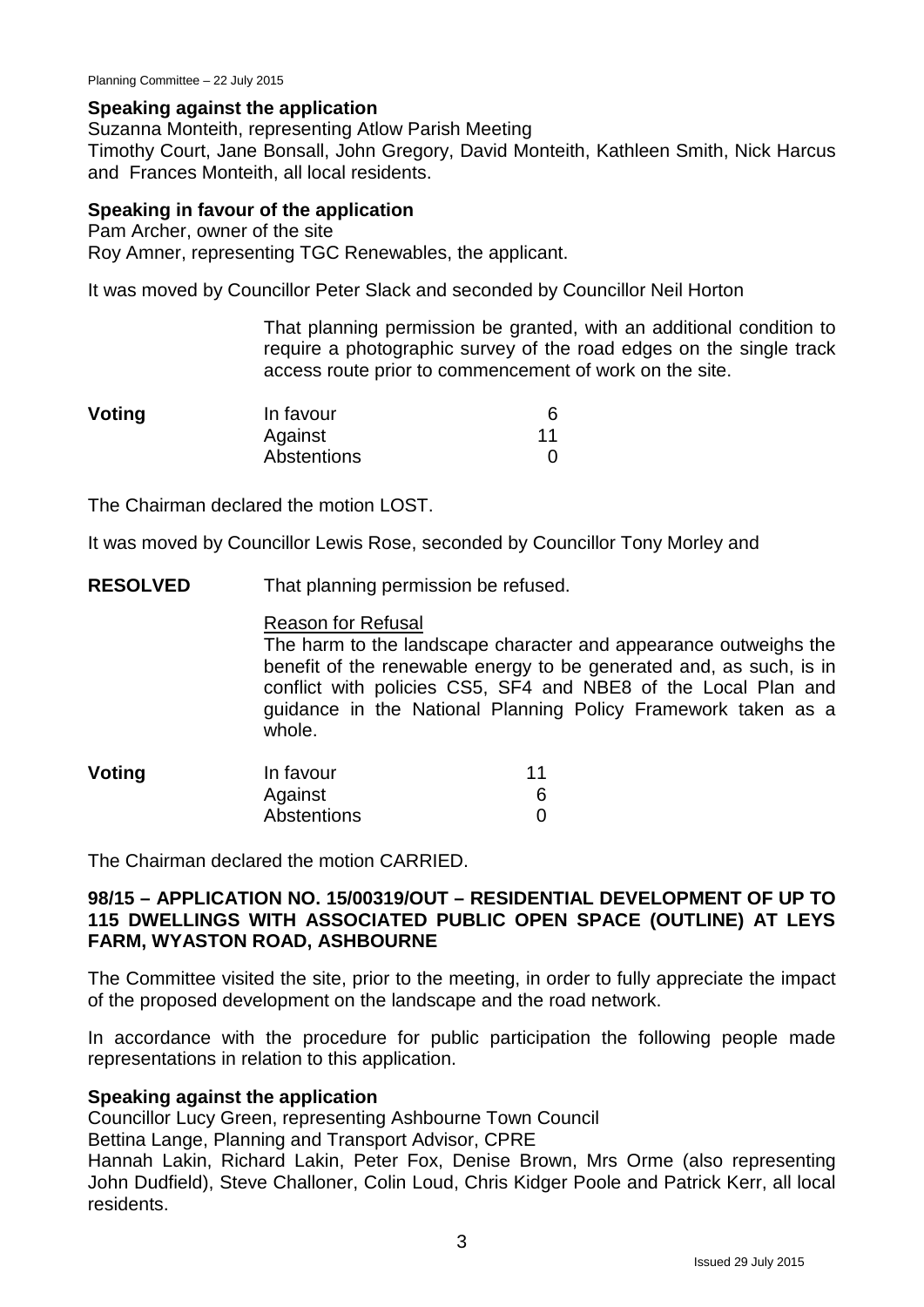## **Speaking against the application**

Suzanna Monteith, representing Atlow Parish Meeting

Timothy Court, Jane Bonsall, John Gregory, David Monteith, Kathleen Smith, Nick Harcus and Frances Monteith, all local residents.

#### **Speaking in favour of the application**

Pam Archer, owner of the site Roy Amner, representing TGC Renewables, the applicant.

It was moved by Councillor Peter Slack and seconded by Councillor Neil Horton

That planning permission be granted, with an additional condition to require a photographic survey of the road edges on the single track access route prior to commencement of work on the site.

| Voting | In favour   |    |
|--------|-------------|----|
|        | Against     | 11 |
|        | Abstentions |    |

The Chairman declared the motion LOST.

It was moved by Councillor Lewis Rose, seconded by Councillor Tony Morley and

**RESOLVED** That planning permission be refused.

## Reason for Refusal

The harm to the landscape character and appearance outweighs the benefit of the renewable energy to be generated and, as such, is in conflict with policies CS5, SF4 and NBE8 of the Local Plan and guidance in the National Planning Policy Framework taken as a whole.

| <b>Voting</b> | In favour   | 11 |
|---------------|-------------|----|
|               | Against     |    |
|               | Abstentions |    |

The Chairman declared the motion CARRIED.

## **98/15 – APPLICATION NO. 15/00319/OUT – RESIDENTIAL DEVELOPMENT OF UP TO 115 DWELLINGS WITH ASSOCIATED PUBLIC OPEN SPACE (OUTLINE) AT LEYS FARM, WYASTON ROAD, ASHBOURNE**

The Committee visited the site, prior to the meeting, in order to fully appreciate the impact of the proposed development on the landscape and the road network.

In accordance with the procedure for public participation the following people made representations in relation to this application.

## **Speaking against the application**

Councillor Lucy Green, representing Ashbourne Town Council

Bettina Lange, Planning and Transport Advisor, CPRE

Hannah Lakin, Richard Lakin, Peter Fox, Denise Brown, Mrs Orme (also representing John Dudfield), Steve Challoner, Colin Loud, Chris Kidger Poole and Patrick Kerr, all local residents.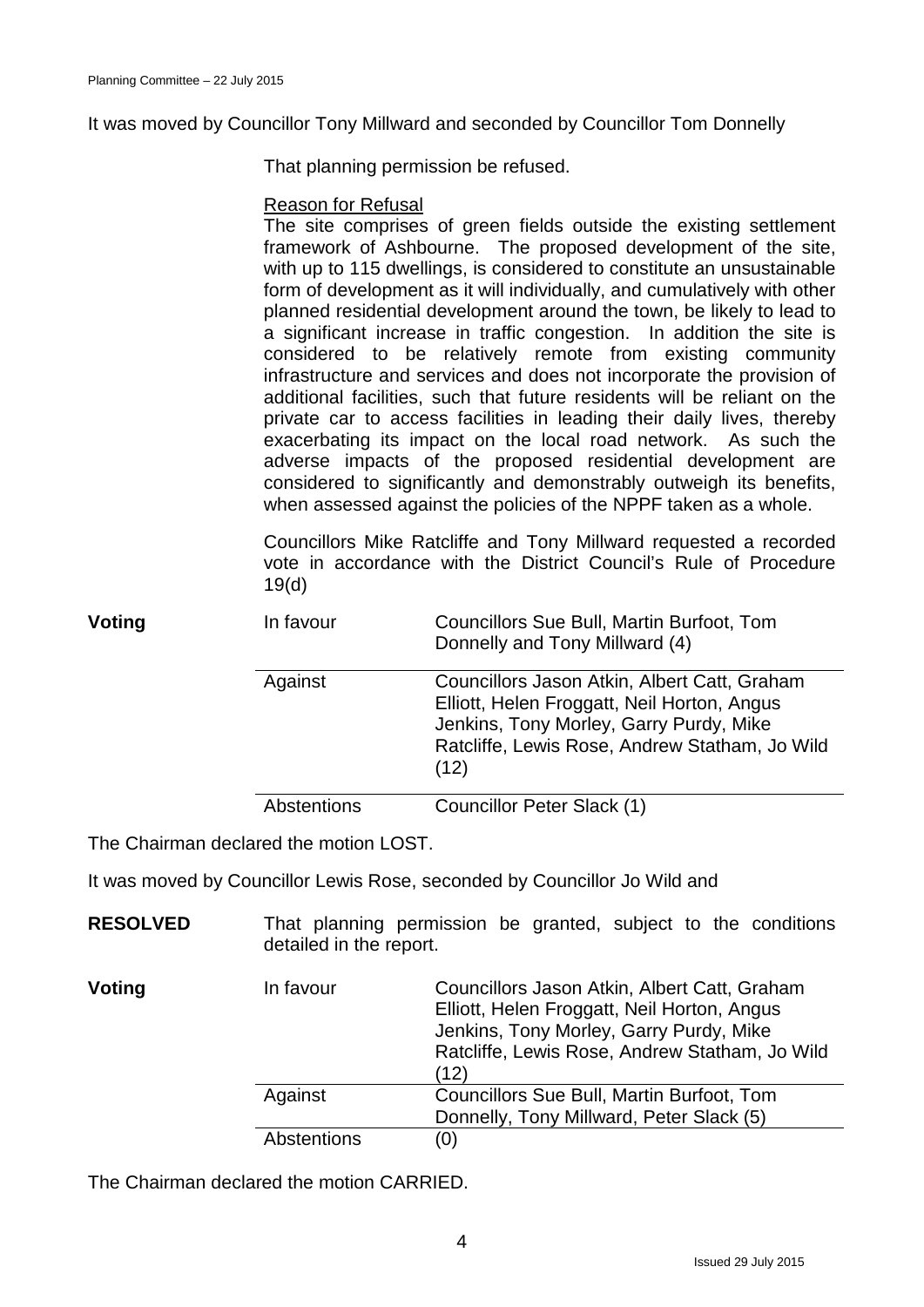It was moved by Councillor Tony Millward and seconded by Councillor Tom Donnelly

That planning permission be refused.

## Reason for Refusal

The site comprises of green fields outside the existing settlement framework of Ashbourne. The proposed development of the site, with up to 115 dwellings, is considered to constitute an unsustainable form of development as it will individually, and cumulatively with other planned residential development around the town, be likely to lead to a significant increase in traffic congestion. In addition the site is considered to be relatively remote from existing community infrastructure and services and does not incorporate the provision of additional facilities, such that future residents will be reliant on the private car to access facilities in leading their daily lives, thereby exacerbating its impact on the local road network. As such the adverse impacts of the proposed residential development are considered to significantly and demonstrably outweigh its benefits, when assessed against the policies of the NPPF taken as a whole.

Councillors Mike Ratcliffe and Tony Millward requested a recorded vote in accordance with the District Council's Rule of Procedure 19(d)

| Voting | In favour          | Councillors Sue Bull, Martin Burfoot, Tom<br>Donnelly and Tony Millward (4)                                                                                                                      |
|--------|--------------------|--------------------------------------------------------------------------------------------------------------------------------------------------------------------------------------------------|
|        | Against            | Councillors Jason Atkin, Albert Catt, Graham<br>Elliott, Helen Froggatt, Neil Horton, Angus<br>Jenkins, Tony Morley, Garry Purdy, Mike<br>Ratcliffe, Lewis Rose, Andrew Statham, Jo Wild<br>(12) |
|        | <b>Abstentions</b> | Councillor Peter Slack (1)                                                                                                                                                                       |

The Chairman declared the motion LOST.

It was moved by Councillor Lewis Rose, seconded by Councillor Jo Wild and

| <b>RESOLVED</b> | detailed in the report. | That planning permission be granted, subject to the conditions                                                                                                                                   |
|-----------------|-------------------------|--------------------------------------------------------------------------------------------------------------------------------------------------------------------------------------------------|
| Voting          | In favour               | Councillors Jason Atkin, Albert Catt, Graham<br>Elliott, Helen Froggatt, Neil Horton, Angus<br>Jenkins, Tony Morley, Garry Purdy, Mike<br>Ratcliffe, Lewis Rose, Andrew Statham, Jo Wild<br>(12) |
|                 | Against                 | Councillors Sue Bull, Martin Burfoot, Tom<br>Donnelly, Tony Millward, Peter Slack (5)                                                                                                            |
|                 | <b>Abstentions</b>      | (0)                                                                                                                                                                                              |

The Chairman declared the motion CARRIED.